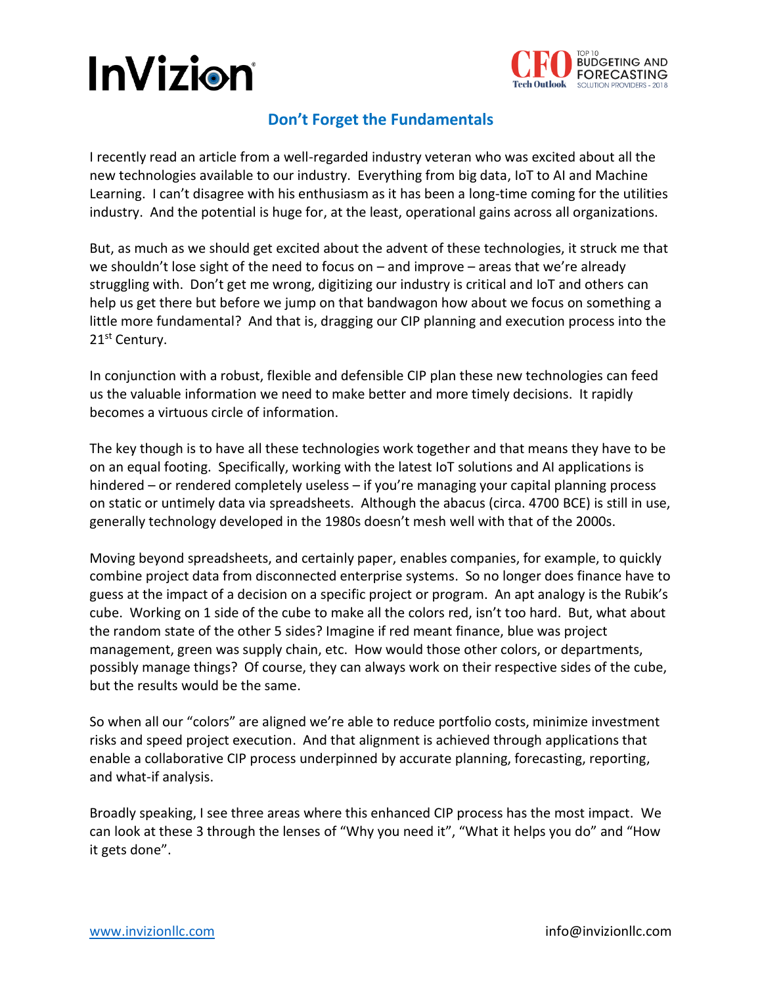## **InVizion**



## **Don't Forget the Fundamentals**

I recently read an article from a well-regarded industry veteran who was excited about all the new technologies available to our industry. Everything from big data, IoT to AI and Machine Learning. I can't disagree with his enthusiasm as it has been a long-time coming for the utilities industry. And the potential is huge for, at the least, operational gains across all organizations.

But, as much as we should get excited about the advent of these technologies, it struck me that we shouldn't lose sight of the need to focus on – and improve – areas that we're already struggling with. Don't get me wrong, digitizing our industry is critical and IoT and others can help us get there but before we jump on that bandwagon how about we focus on something a little more fundamental? And that is, dragging our CIP planning and execution process into the 21<sup>st</sup> Century.

In conjunction with a robust, flexible and defensible CIP plan these new technologies can feed us the valuable information we need to make better and more timely decisions. It rapidly becomes a virtuous circle of information.

The key though is to have all these technologies work together and that means they have to be on an equal footing. Specifically, working with the latest IoT solutions and AI applications is hindered – or rendered completely useless – if you're managing your capital planning process on static or untimely data via spreadsheets. Although the abacus (circa. 4700 BCE) is still in use, generally technology developed in the 1980s doesn't mesh well with that of the 2000s.

Moving beyond spreadsheets, and certainly paper, enables companies, for example, to quickly combine project data from disconnected enterprise systems. So no longer does finance have to guess at the impact of a decision on a specific project or program. An apt analogy is the Rubik's cube. Working on 1 side of the cube to make all the colors red, isn't too hard. But, what about the random state of the other 5 sides? Imagine if red meant finance, blue was project management, green was supply chain, etc. How would those other colors, or departments, possibly manage things? Of course, they can always work on their respective sides of the cube, but the results would be the same.

So when all our "colors" are aligned we're able to reduce portfolio costs, minimize investment risks and speed project execution. And that alignment is achieved through applications that enable a collaborative CIP process underpinned by accurate planning, forecasting, reporting, and what-if analysis.

Broadly speaking, I see three areas where this enhanced CIP process has the most impact. We can look at these 3 through the lenses of "Why you need it", "What it helps you do" and "How it gets done".